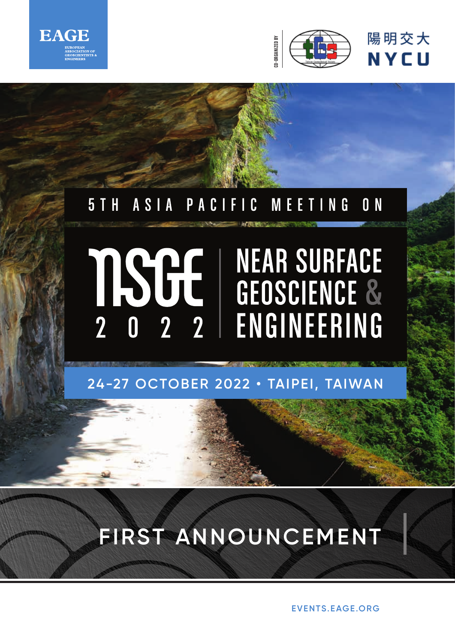



# **24-27 OCTOBER 2022 • TAIPEI, TAIWAN**

# **FIRST ANNOUNCEMENT**

**EVENTS.EAGE.ORG**